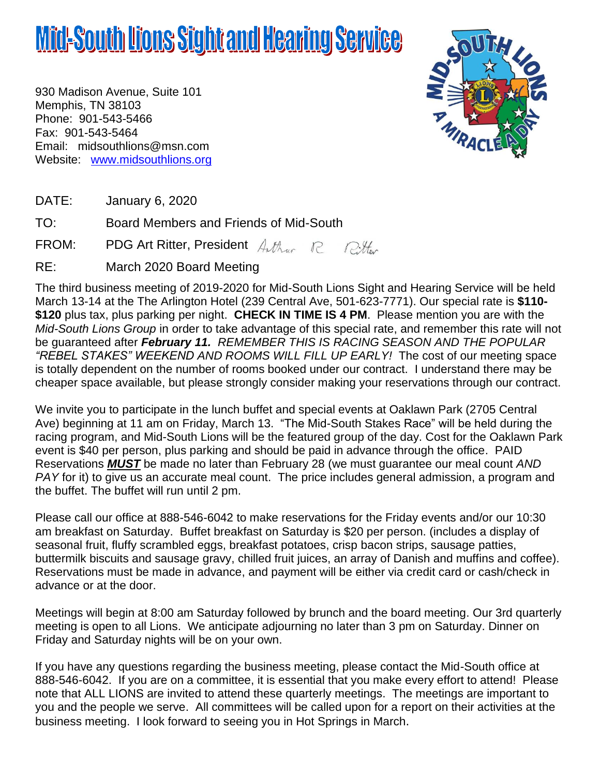# **Mid-South Lions Sight and Hearing Service**

930 Madison Avenue, Suite 101 Memphis, TN 38103 Phone: 901-543-5466 Fax: 901-543-5464 Email: [midsouthlions@msn.com](mailto:midsouthlions@msn.com) Website: [www.midsouthlions.org](http://www.midsouthlions.org/)



DATE: January 6, 2020

TO: Board Members and Friends of Mid-South

FROM: PDG Art Ritter, President Author R Ritter

RE: March 2020 Board Meeting

The third business meeting of 2019-2020 for Mid-South Lions Sight and Hearing Service will be held March 13-14 at the The Arlington Hotel (239 Central Ave, 501-623-7771). Our special rate is **\$110- \$120** plus tax, plus parking per night. **CHECK IN TIME IS 4 PM**. Please mention you are with the *Mid-South Lions Group* in order to take advantage of this special rate, and remember this rate will not be guaranteed after *February 11. REMEMBER THIS IS RACING SEASON AND THE POPULAR "REBEL STAKES" WEEKEND AND ROOMS WILL FILL UP EARLY!* The cost of our meeting space is totally dependent on the number of rooms booked under our contract. I understand there may be cheaper space available, but please strongly consider making your reservations through our contract.

We invite you to participate in the lunch buffet and special events at Oaklawn Park (2705 Central Ave) beginning at 11 am on Friday, March 13. "The Mid-South Stakes Race" will be held during the racing program, and Mid-South Lions will be the featured group of the day. Cost for the Oaklawn Park event is \$40 per person, plus parking and should be paid in advance through the office. PAID Reservations *MUST* be made no later than February 28 (we must guarantee our meal count *AND PAY* for it) to give us an accurate meal count. The price includes general admission, a program and the buffet. The buffet will run until 2 pm.

Please call our office at 888-546-6042 to make reservations for the Friday events and/or our 10:30 am breakfast on Saturday. Buffet breakfast on Saturday is \$20 per person. (includes a display of seasonal fruit, fluffy scrambled eggs, breakfast potatoes, crisp bacon strips, sausage patties, buttermilk biscuits and sausage gravy, chilled fruit juices, an array of Danish and muffins and coffee). Reservations must be made in advance, and payment will be either via credit card or cash/check in advance or at the door.

Meetings will begin at 8:00 am Saturday followed by brunch and the board meeting. Our 3rd quarterly meeting is open to all Lions. We anticipate adjourning no later than 3 pm on Saturday. Dinner on Friday and Saturday nights will be on your own.

If you have any questions regarding the business meeting, please contact the Mid-South office at 888-546-6042. If you are on a committee, it is essential that you make every effort to attend! Please note that ALL LIONS are invited to attend these quarterly meetings. The meetings are important to you and the people we serve. All committees will be called upon for a report on their activities at the business meeting. I look forward to seeing you in Hot Springs in March.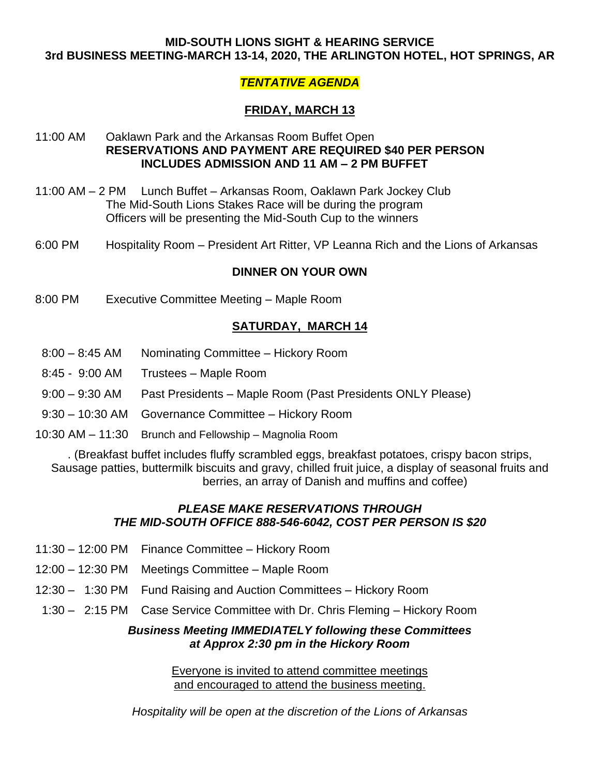#### **MID-SOUTH LIONS SIGHT & HEARING SERVICE 3rd BUSINESS MEETING-MARCH 13-14, 2020, THE ARLINGTON HOTEL, HOT SPRINGS, AR**

## *TENTATIVE AGENDA*

## **FRIDAY, MARCH 13**

#### 11:00 AM Oaklawn Park and the Arkansas Room Buffet Open **RESERVATIONS AND PAYMENT ARE REQUIRED \$40 PER PERSON INCLUDES ADMISSION AND 11 AM – 2 PM BUFFET**

- 11:00 AM 2 PM Lunch Buffet Arkansas Room, Oaklawn Park Jockey Club The Mid-South Lions Stakes Race will be during the program Officers will be presenting the Mid-South Cup to the winners
- 6:00 PM Hospitality Room President Art Ritter, VP Leanna Rich and the Lions of Arkansas

#### **DINNER ON YOUR OWN**

8:00 PM Executive Committee Meeting – Maple Room

### **SATURDAY, MARCH 14**

- 8:00 8:45 AM Nominating Committee Hickory Room
- 8:45 9:00 AM Trustees Maple Room
- 9:00 9:30 AM Past Presidents Maple Room (Past Presidents ONLY Please)
- 9:30 10:30 AM Governance Committee Hickory Room
- 10:30 AM 11:30 Brunch and Fellowship Magnolia Room

. (Breakfast buffet includes fluffy scrambled eggs, breakfast potatoes, crispy bacon strips, Sausage patties, buttermilk biscuits and gravy, chilled fruit juice, a display of seasonal fruits and berries, an array of Danish and muffins and coffee)

#### *PLEASE MAKE RESERVATIONS THROUGH THE MID-SOUTH OFFICE 888-546-6042, COST PER PERSON IS \$20*

- 11:30 12:00 PM Finance Committee Hickory Room
- 12:00 12:30 PM Meetings Committee Maple Room
- 12:30 1:30 PM Fund Raising and Auction Committees Hickory Room
- 1:30 2:15 PM Case Service Committee with Dr. Chris Fleming Hickory Room

#### *Business Meeting IMMEDIATELY following these Committees at Approx 2:30 pm in the Hickory Room*

Everyone is invited to attend committee meetings and encouraged to attend the business meeting.

*Hospitality will be open at the discretion of the Lions of Arkansas*